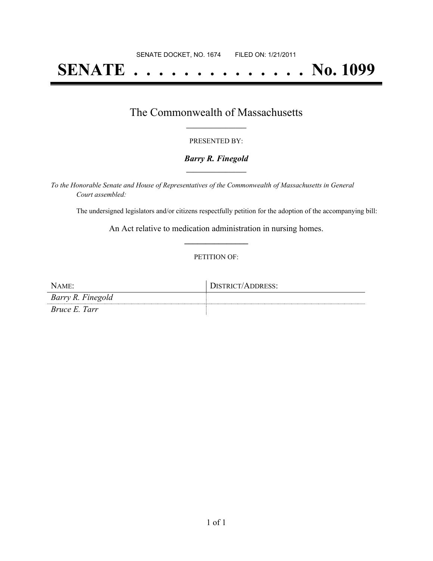# **SENATE . . . . . . . . . . . . . . No. 1099**

### The Commonwealth of Massachusetts **\_\_\_\_\_\_\_\_\_\_\_\_\_\_\_\_\_**

#### PRESENTED BY:

#### *Barry R. Finegold* **\_\_\_\_\_\_\_\_\_\_\_\_\_\_\_\_\_**

*To the Honorable Senate and House of Representatives of the Commonwealth of Massachusetts in General Court assembled:*

The undersigned legislators and/or citizens respectfully petition for the adoption of the accompanying bill:

An Act relative to medication administration in nursing homes. **\_\_\_\_\_\_\_\_\_\_\_\_\_\_\_**

#### PETITION OF:

| NAME:             | DISTRICT/ADDRESS: |
|-------------------|-------------------|
| Barry R. Finegold |                   |
| Bruce E. Tarr     |                   |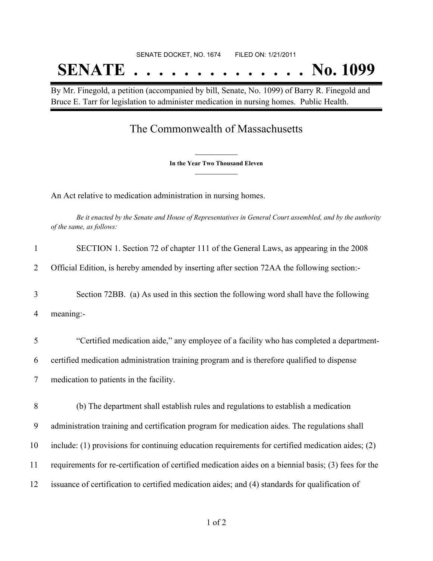# SENATE DOCKET, NO. 1674 FILED ON: 1/21/2011 **SENATE . . . . . . . . . . . . . . No. 1099**

By Mr. Finegold, a petition (accompanied by bill, Senate, No. 1099) of Barry R. Finegold and Bruce E. Tarr for legislation to administer medication in nursing homes. Public Health.

## The Commonwealth of Massachusetts

**\_\_\_\_\_\_\_\_\_\_\_\_\_\_\_ In the Year Two Thousand Eleven \_\_\_\_\_\_\_\_\_\_\_\_\_\_\_**

An Act relative to medication administration in nursing homes.

Be it enacted by the Senate and House of Representatives in General Court assembled, and by the authority *of the same, as follows:*

| $\mathbf{1}$   | SECTION 1. Section 72 of chapter 111 of the General Laws, as appearing in the 2008                    |
|----------------|-------------------------------------------------------------------------------------------------------|
| 2              | Official Edition, is hereby amended by inserting after section 72AA the following section:-           |
| 3              | Section 72BB. (a) As used in this section the following word shall have the following                 |
| 4              | meaning:-                                                                                             |
| 5              | "Certified medication aide," any employee of a facility who has completed a department-               |
| 6              | certified medication administration training program and is therefore qualified to dispense           |
| $\overline{7}$ | medication to patients in the facility.                                                               |
| 8              | (b) The department shall establish rules and regulations to establish a medication                    |
| 9              | administration training and certification program for medication aides. The regulations shall         |
| 10             | include: (1) provisions for continuing education requirements for certified medication aides; (2)     |
| 11             | requirements for re-certification of certified medication aides on a biennial basis; (3) fees for the |
| 12             | issuance of certification to certified medication aides; and (4) standards for qualification of       |